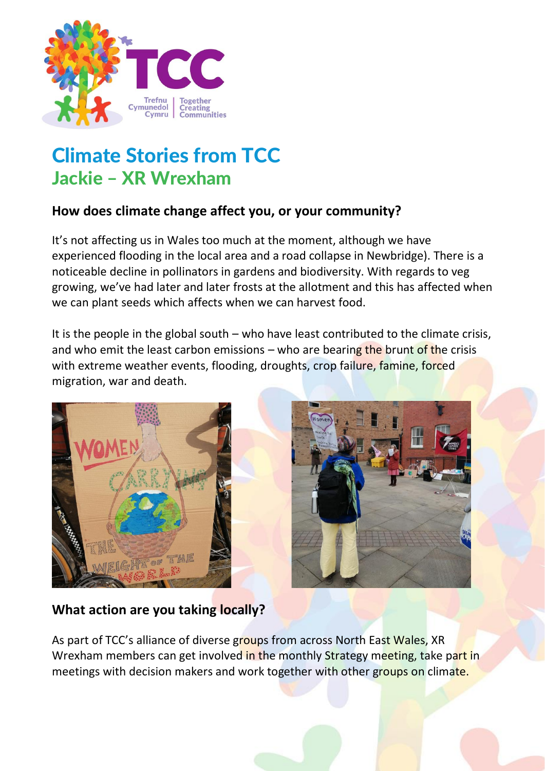

# Climate Stories from TCC Jackie – XR Wrexham

# **How does climate change affect you, or your community?**

It's not affecting us in Wales too much at the moment, although we have experienced flooding in the local area and a road collapse in Newbridge). There is a noticeable decline in pollinators in gardens and biodiversity. With regards to veg growing, we've had later and later frosts at the allotment and this has affected when we can plant seeds which affects when we can harvest food.

It is the people in the global south  $-$  who have least contributed to the climate crisis, and who emit the least carbon emissions – who are bearing the brunt of the crisis with extreme weather events, flooding, droughts, crop failure, famine, forced migration, war and death.





# **What action are you taking locally?**

As part of TCC's alliance of diverse groups from across North East Wales, XR Wrexham members can get involved in the monthly Strategy meeting, take part in meetings with decision makers and work together with other groups on climate.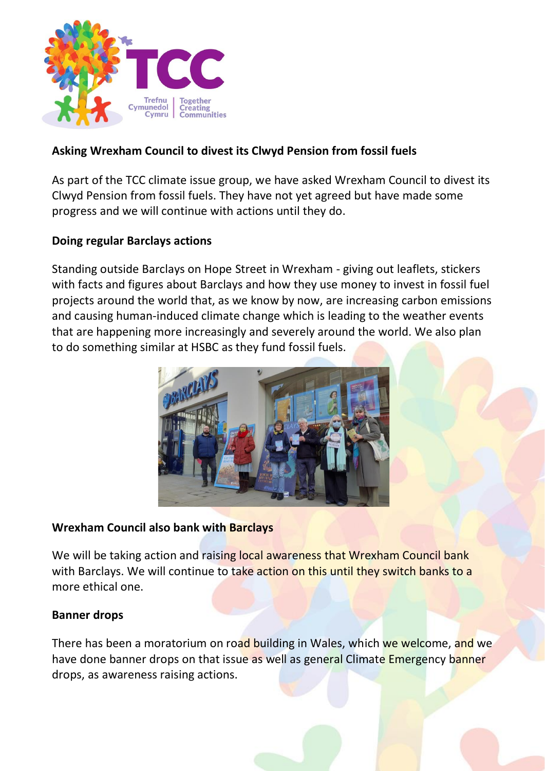

## **Asking Wrexham Council to divest its Clwyd Pension from fossil fuels**

As part of the TCC climate issue group, we have asked Wrexham Council to divest its Clwyd Pension from fossil fuels. They have not yet agreed but have made some progress and we will continue with actions until they do.

### **Doing regular Barclays actions**

Standing outside Barclays on Hope Street in Wrexham - giving out leaflets, stickers with facts and figures about Barclays and how they use money to invest in fossil fuel projects around the world that, as we know by now, are increasing carbon emissions and causing human-induced climate change which is leading to the weather events that are happening more increasingly and severely around the world. We also plan to do something similar at HSBC as they fund fossil fuels.



#### **Wrexham Council also bank with Barclays**

We will be taking action and raising local awareness that Wrexham Council bank with Barclays. We will continue to take action on this until they switch banks to a more ethical one.

#### **Banner drops**

There has been a moratorium on road building in Wales, which we welcome, and we have done banner drops on that issue as well as general Climate Emergency banner drops, as awareness raising actions.